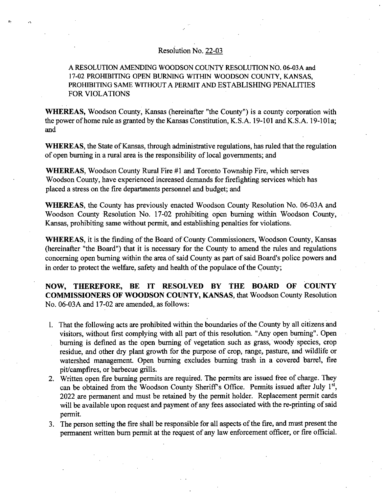## Resolution No. 22-03

## A RESOLUTION AMENDING WOODSON COUNTY RESOLUTION NO. 06-03A and 17-02 PROHIBITING OPEN BURNING WITHIN WOODSON COUNTY, KANSAS, PROHIBITING SAME WITHOUT A PERMIT AND ESTABLISHING PENALITIES FOR VIOLATIONS

WHEREAS, Woodson County, Kansas (hereinafter "the County") is a county corporation with the power of home rule as granted by the Kansas Constitution, K.S.A. 19-101 and K.S.A. 19-101a; and

WHEREAS, the State of Kansas, through administrative regulations, has ruled that the regulation of open burning in a rural area is the responsibility of local governments; and

WHEREAS, Woodson County Rural Fire #1 and Toronto Township Fire, which serves Woodson County, have experienced increased demands for firefighting services which has placed a stress on the fire departments personnel and budget; and

WHEREAS, the County has previously enacted Woodson County Resolution No. 06-03A and Woodson County Resolution No. 17-02 prohibiting open burning within Woodson County, Kansas, prohibiting same without permit, and establishing penalties for violations.

WHEREAS, it is the finding of the Board of County Commissioners, Woodson County, Kansas (hereinafter "the Board") that it is necessary for the County to amend the rules and regulations concerning open burning within the area of said County as part of said Board's police powers and in order to protect the welfare, safety and health of the populace of the County;

NOW, THEREFORE, BE IT RESOLVED BY THE BOARD OF COUNTY COMMISSIONERS OF WOODSON COUNTY, KANSAS, that Woodson County Resolution No. 06-03A and 17-02 are amended, as follows:

- That the following acts are prohibited within the boundaries of the County by all citizens and visitors, without first complying with all part of this resolution. "Any open burning". Open burning is defined as the open burning of vegetation such as grass, woody species, crop residue, and other dry plant growth for the purpose of crop, range, pasture, and wildlife or watershed management. Open burning excludes burning trash in a covered barrel, fire pit/campfires, or barbecue grills.
- Written open fire burning permits are required. The permits are issued free of charge. They can be obtained from the Woodson County Sheriff's Office. Permits issued after July 1st, 2022 are permanent and must be retained by the permit holder. Replacement permit cards will be available upon request and payment of any fees associated with the re-printing of said permit.
- The person setting the fire shall be responsible for all aspects of the fire, and must present the permanent written burn permit at the request of any law enforcement officer, or fire official.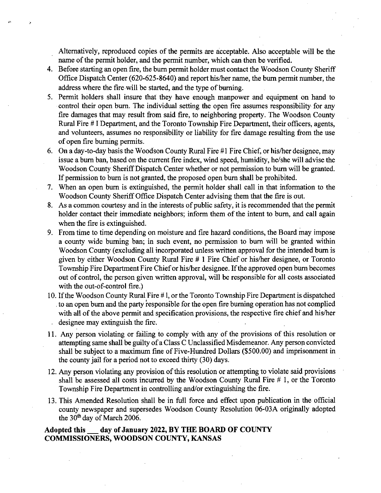Alternatively, reproduced copies of the permits are acceptable. Also acceptable will be the name of the permit holder, and the permit number, which can then be verified.

- 4. Before starting an open fire, the burn permit holder must contact the Woodson County Sheriff Office Dispatch Center (620-625-8640) and report his/her name, the burn permit number, the address where the fire will be started, and the type of burning.
- 5. Permit holders shall insure that they have enough manpower and equipment on hand to control their open burn. The individual setting the open fire assumes responsibility for any fire damages that may result from said fire, to neighboring property. The Woodson County Rural Fire # I Department, and the Toronto Township Fire Department, their officers, agents, and volunteers, assumes no responsibility or liability for fire damage resulting from the use of open fire burning permits.
- 6. On a day-to-day basis the Woodson County Rural Fire #1 Fire Chief, or his/her designee, may issue a bum ban, based on the current fire index, wind speed, humidity, he/she will advise the Woodson County Sheriff Dispatch Center whether or not permission to burn will be granted. If permission to burn is not granted, the proposed open burn shall be prohibited.
- When an open burn is extinguished, the permit holder shall call in that information to the Woodson County Sheriff Office Dispatch Center advising them that the fire is out.
- As a common courtesy and in the interests of public safety, it is recommended that the permit holder contact their immediate neighbors; inform them of the intent to burn, and call again when the fire is extinguished.
- From time to time depending on moisture and fire hazard conditions, the Board may impose a county wide burning ban; in such event, no permission to burn will be granted within Woodson County (excluding all incorporated unless written approval for the intended bum is given by either Woodson County Rural Fire # 1 Fire Chief or his/her designee, or Toronto Township Fire Department Fire Chief or his/her designee. If the approved open bum becomes out of control, the person given written approval, will be responsible for all costs associated with the out-of-control fire.)
- 10. If the Woodson County Rural Fire #1, or the Toronto Township Fire Department is dispatched to an open burn and the party responsible for the open fire burning operation has not complied with all of the above permit and specification provisions, the respective fire chief and his/her designee may extinguish the fire.
- Any person violating or failing to comply with any of the provisions of this resolution or attempting same shall be guilty of a Class C Unclassified Misdemeanor. Any person convicted shall be subject to a maximum fine of Five-Hundred Dollars (\$500.00) and imprisonment in the county jail for a period not to exceed thirty (30) days.
- Any person violating any provision of this resolution or attempting to violate said provisions shall be assessed all costs incurred by the Woodson County Rural Fire # 1, or the Toronto Township Fire Department in controlling and/or extinguishing the fire.
- 13. This Amended Resolution shall be in full force and effect upon publication in the official county newspaper and supersedes Woodson County Resolution 06-03A originally adopted the  $30<sup>th</sup>$  day of March 2006.

## **Adopted this day of January 2022, BY THE BOARD OF COUNTY COMMISSIONERS, WOODSON COUNTY, KANSAS**